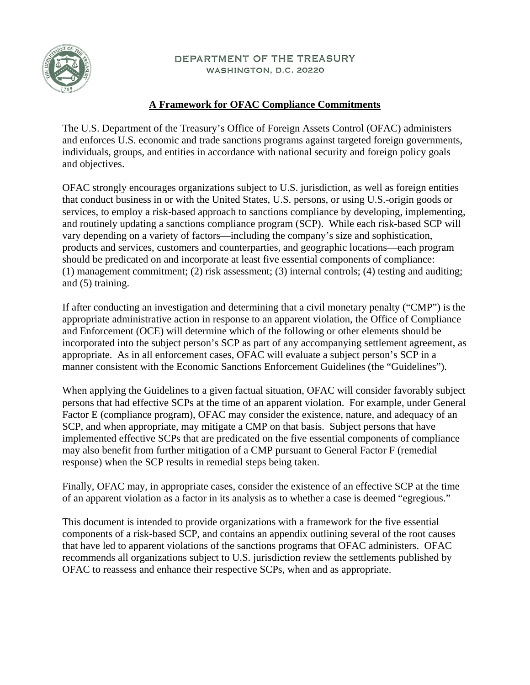

#### DEPARTMENT OF THE TREASURY WASHINGTON, D.C. 20220

# **A Framework for OFAC Compliance Commitments**

The U.S. Department of the Treasury's Office of Foreign Assets Control (OFAC) administers and enforces U.S. economic and trade sanctions programs against targeted foreign governments, individuals, groups, and entities in accordance with national security and foreign policy goals and objectives.

OFAC strongly encourages organizations subject to U.S. jurisdiction, as well as foreign entities that conduct business in or with the United States, U.S. persons, or using U.S.-origin goods or services, to employ a risk-based approach to sanctions compliance by developing, implementing, and routinely updating a sanctions compliance program (SCP). While each risk-based SCP will vary depending on a variety of factors—including the company's size and sophistication, products and services, customers and counterparties, and geographic locations—each program should be predicated on and incorporate at least five essential components of compliance: (1) management commitment; (2) risk assessment; (3) internal controls; (4) testing and auditing; and (5) training.

If after conducting an investigation and determining that a civil monetary penalty ("CMP") is the appropriate administrative action in response to an apparent violation, the Office of Compliance and Enforcement (OCE) will determine which of the following or other elements should be incorporated into the subject person's SCP as part of any accompanying settlement agreement, as appropriate. As in all enforcement cases, OFAC will evaluate a subject person's SCP in a manner consistent with the Economic Sanctions Enforcement Guidelines (the "Guidelines").

When applying the Guidelines to a given factual situation, OFAC will consider favorably subject persons that had effective SCPs at the time of an apparent violation. For example, under General Factor E (compliance program), OFAC may consider the existence, nature, and adequacy of an SCP, and when appropriate, may mitigate a CMP on that basis. Subject persons that have implemented effective SCPs that are predicated on the five essential components of compliance may also benefit from further mitigation of a CMP pursuant to General Factor F (remedial response) when the SCP results in remedial steps being taken.

Finally, OFAC may, in appropriate cases, consider the existence of an effective SCP at the time of an apparent violation as a factor in its analysis as to whether a case is deemed "egregious."

This document is intended to provide organizations with a framework for the five essential components of a risk-based SCP, and contains an appendix outlining several of the root causes that have led to apparent violations of the sanctions programs that OFAC administers. OFAC recommends all organizations subject to U.S. jurisdiction review the settlements published by OFAC to reassess and enhance their respective SCPs, when and as appropriate.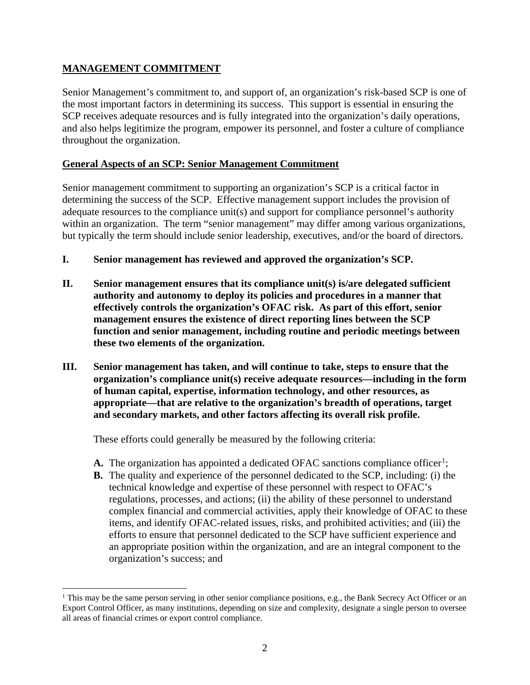### **MANAGEMENT COMMITMENT**

 $\overline{a}$ 

Senior Management's commitment to, and support of, an organization's risk-based SCP is one of the most important factors in determining its success. This support is essential in ensuring the SCP receives adequate resources and is fully integrated into the organization's daily operations, and also helps legitimize the program, empower its personnel, and foster a culture of compliance throughout the organization.

#### **General Aspects of an SCP: Senior Management Commitment**

Senior management commitment to supporting an organization's SCP is a critical factor in determining the success of the SCP. Effective management support includes the provision of adequate resources to the compliance unit(s) and support for compliance personnel's authority within an organization. The term "senior management" may differ among various organizations, but typically the term should include senior leadership, executives, and/or the board of directors.

- **I. Senior management has reviewed and approved the organization's SCP.**
- **II. Senior management ensures that its compliance unit(s) is/are delegated sufficient authority and autonomy to deploy its policies and procedures in a manner that effectively controls the organization's OFAC risk. As part of this effort, senior management ensures the existence of direct reporting lines between the SCP function and senior management, including routine and periodic meetings between these two elements of the organization.**
- **III. Senior management has taken, and will continue to take, steps to ensure that the organization's compliance unit(s) receive adequate resources—including in the form of human capital, expertise, information technology, and other resources, as appropriate—that are relative to the organization's breadth of operations, target and secondary markets, and other factors affecting its overall risk profile.**

These efforts could generally be measured by the following criteria:

- A. The organization has appointed a dedicated OFAC sanctions compliance officer<sup>[1](#page-1-0)</sup>;
- **B.** The quality and experience of the personnel dedicated to the SCP, including: (i) the technical knowledge and expertise of these personnel with respect to OFAC's regulations, processes, and actions; (ii) the ability of these personnel to understand complex financial and commercial activities, apply their knowledge of OFAC to these items, and identify OFAC-related issues, risks, and prohibited activities; and (iii) the efforts to ensure that personnel dedicated to the SCP have sufficient experience and an appropriate position within the organization, and are an integral component to the organization's success; and

<span id="page-1-0"></span><sup>&</sup>lt;sup>1</sup> This may be the same person serving in other senior compliance positions, e.g., the Bank Secrecy Act Officer or an Export Control Officer, as many institutions, depending on size and complexity, designate a single person to oversee all areas of financial crimes or export control compliance.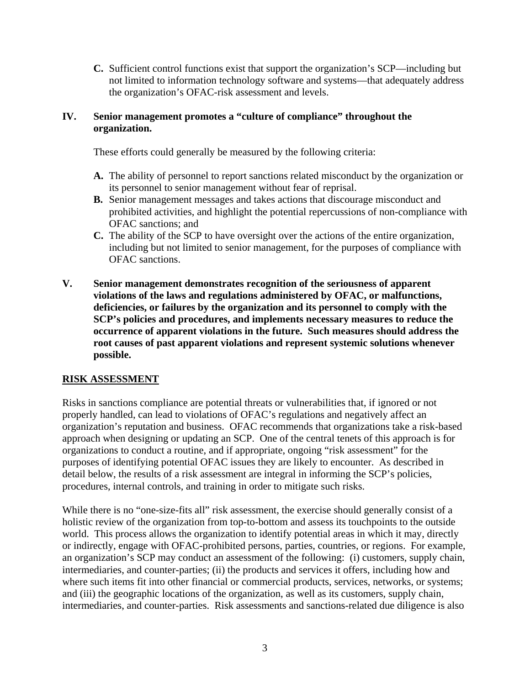**C.** Sufficient control functions exist that support the organization's SCP—including but not limited to information technology software and systems—that adequately address the organization's OFAC-risk assessment and levels.

#### **IV. Senior management promotes a "culture of compliance" throughout the organization.**

These efforts could generally be measured by the following criteria:

- **A.** The ability of personnel to report sanctions related misconduct by the organization or its personnel to senior management without fear of reprisal.
- **B.** Senior management messages and takes actions that discourage misconduct and prohibited activities, and highlight the potential repercussions of non-compliance with OFAC sanctions; and
- **C.** The ability of the SCP to have oversight over the actions of the entire organization, including but not limited to senior management, for the purposes of compliance with OFAC sanctions.
- **V. Senior management demonstrates recognition of the seriousness of apparent violations of the laws and regulations administered by OFAC, or malfunctions, deficiencies, or failures by the organization and its personnel to comply with the SCP's policies and procedures, and implements necessary measures to reduce the occurrence of apparent violations in the future. Such measures should address the root causes of past apparent violations and represent systemic solutions whenever possible.**

#### **RISK ASSESSMENT**

Risks in sanctions compliance are potential threats or vulnerabilities that, if ignored or not properly handled, can lead to violations of OFAC's regulations and negatively affect an organization's reputation and business. OFAC recommends that organizations take a risk-based approach when designing or updating an SCP. One of the central tenets of this approach is for organizations to conduct a routine, and if appropriate, ongoing "risk assessment" for the purposes of identifying potential OFAC issues they are likely to encounter. As described in detail below, the results of a risk assessment are integral in informing the SCP's policies, procedures, internal controls, and training in order to mitigate such risks.

While there is no "one-size-fits all" risk assessment, the exercise should generally consist of a holistic review of the organization from top-to-bottom and assess its touchpoints to the outside world. This process allows the organization to identify potential areas in which it may, directly or indirectly, engage with OFAC-prohibited persons, parties, countries, or regions. For example, an organization's SCP may conduct an assessment of the following: (i) customers, supply chain, intermediaries, and counter-parties; (ii) the products and services it offers, including how and where such items fit into other financial or commercial products, services, networks, or systems; and (iii) the geographic locations of the organization, as well as its customers, supply chain, intermediaries, and counter-parties. Risk assessments and sanctions-related due diligence is also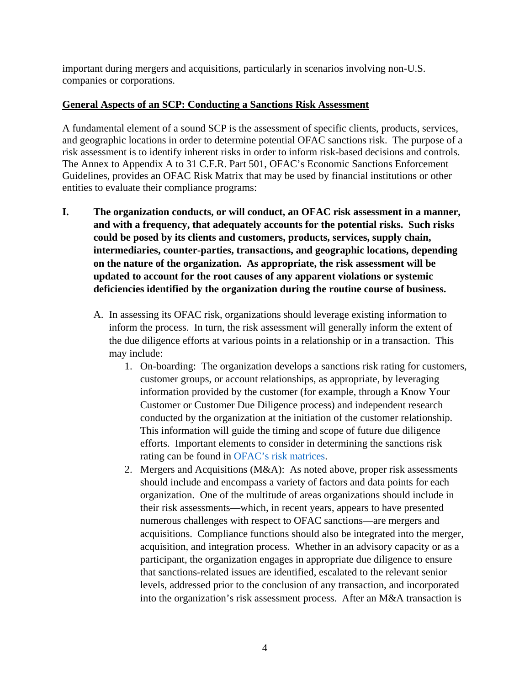important during mergers and acquisitions, particularly in scenarios involving non-U.S. companies or corporations.

#### **General Aspects of an SCP: Conducting a Sanctions Risk Assessment**

A fundamental element of a sound SCP is the assessment of specific clients, products, services, and geographic locations in order to determine potential OFAC sanctions risk. The purpose of a risk assessment is to identify inherent risks in order to inform risk-based decisions and controls. The Annex to Appendix A to 31 C.F.R. Part 501, OFAC's Economic Sanctions Enforcement Guidelines, provides an OFAC Risk Matrix that may be used by financial institutions or other entities to evaluate their compliance programs:

- **I. The organization conducts, or will conduct, an OFAC risk assessment in a manner, and with a frequency, that adequately accounts for the potential risks. Such risks could be posed by its clients and customers, products, services, supply chain, intermediaries, counter-parties, transactions, and geographic locations, depending on the nature of the organization. As appropriate, the risk assessment will be updated to account for the root causes of any apparent violations or systemic deficiencies identified by the organization during the routine course of business.**
	- A. In assessing its OFAC risk, organizations should leverage existing information to inform the process. In turn, the risk assessment will generally inform the extent of the due diligence efforts at various points in a relationship or in a transaction. This may include:
		- 1. On-boarding: The organization develops a sanctions risk rating for customers, customer groups, or account relationships, as appropriate, by leveraging information provided by the customer (for example, through a Know Your Customer or Customer Due Diligence process) and independent research conducted by the organization at the initiation of the customer relationship. This information will guide the timing and scope of future due diligence efforts. Important elements to consider in determining the sanctions risk rating can be found in [OFAC's risk matrices.](https://www.ecfr.gov/cgi-bin/text-idx?SID=848b2642ff8499c529baa2a3739cf218&mc=true&node=ap31.3.501_1901.a&rgn=div9)
		- 2. Mergers and Acquisitions (M&A): As noted above, proper risk assessments should include and encompass a variety of factors and data points for each organization. One of the multitude of areas organizations should include in their risk assessments—which, in recent years, appears to have presented numerous challenges with respect to OFAC sanctions—are mergers and acquisitions. Compliance functions should also be integrated into the merger, acquisition, and integration process. Whether in an advisory capacity or as a participant, the organization engages in appropriate due diligence to ensure that sanctions-related issues are identified, escalated to the relevant senior levels, addressed prior to the conclusion of any transaction, and incorporated into the organization's risk assessment process. After an M&A transaction is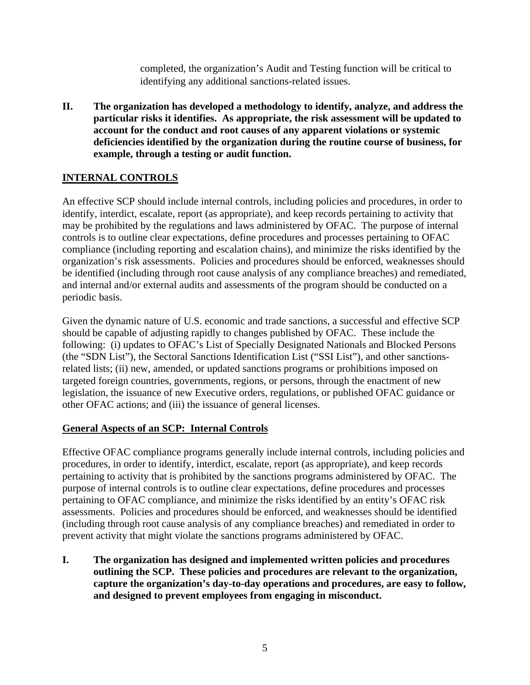completed, the organization's Audit and Testing function will be critical to identifying any additional sanctions-related issues.

**II. The organization has developed a methodology to identify, analyze, and address the particular risks it identifies. As appropriate, the risk assessment will be updated to account for the conduct and root causes of any apparent violations or systemic deficiencies identified by the organization during the routine course of business, for example, through a testing or audit function.**

# **INTERNAL CONTROLS**

An effective SCP should include internal controls, including policies and procedures, in order to identify, interdict, escalate, report (as appropriate), and keep records pertaining to activity that may be prohibited by the regulations and laws administered by OFAC. The purpose of internal controls is to outline clear expectations, define procedures and processes pertaining to OFAC compliance (including reporting and escalation chains), and minimize the risks identified by the organization's risk assessments. Policies and procedures should be enforced, weaknesses should be identified (including through root cause analysis of any compliance breaches) and remediated, and internal and/or external audits and assessments of the program should be conducted on a periodic basis.

Given the dynamic nature of U.S. economic and trade sanctions, a successful and effective SCP should be capable of adjusting rapidly to changes published by OFAC. These include the following: (i) updates to OFAC's List of Specially Designated Nationals and Blocked Persons (the "SDN List"), the Sectoral Sanctions Identification List ("SSI List"), and other sanctionsrelated lists; (ii) new, amended, or updated sanctions programs or prohibitions imposed on targeted foreign countries, governments, regions, or persons, through the enactment of new legislation, the issuance of new Executive orders, regulations, or published OFAC guidance or other OFAC actions; and (iii) the issuance of general licenses.

## **General Aspects of an SCP: Internal Controls**

Effective OFAC compliance programs generally include internal controls, including policies and procedures, in order to identify, interdict, escalate, report (as appropriate), and keep records pertaining to activity that is prohibited by the sanctions programs administered by OFAC. The purpose of internal controls is to outline clear expectations, define procedures and processes pertaining to OFAC compliance, and minimize the risks identified by an entity's OFAC risk assessments. Policies and procedures should be enforced, and weaknesses should be identified (including through root cause analysis of any compliance breaches) and remediated in order to prevent activity that might violate the sanctions programs administered by OFAC.

**I. The organization has designed and implemented written policies and procedures outlining the SCP. These policies and procedures are relevant to the organization, capture the organization's day-to-day operations and procedures, are easy to follow, and designed to prevent employees from engaging in misconduct.**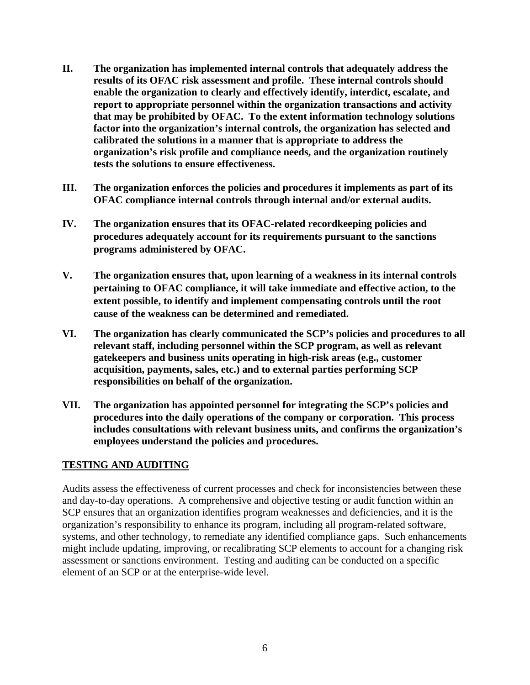- **II. The organization has implemented internal controls that adequately address the results of its OFAC risk assessment and profile. These internal controls should enable the organization to clearly and effectively identify, interdict, escalate, and report to appropriate personnel within the organization transactions and activity that may be prohibited by OFAC. To the extent information technology solutions factor into the organization's internal controls, the organization has selected and calibrated the solutions in a manner that is appropriate to address the organization's risk profile and compliance needs, and the organization routinely tests the solutions to ensure effectiveness.**
- **III. The organization enforces the policies and procedures it implements as part of its OFAC compliance internal controls through internal and/or external audits.**
- **IV. The organization ensures that its OFAC-related recordkeeping policies and procedures adequately account for its requirements pursuant to the sanctions programs administered by OFAC.**
- **V. The organization ensures that, upon learning of a weakness in its internal controls pertaining to OFAC compliance, it will take immediate and effective action, to the extent possible, to identify and implement compensating controls until the root cause of the weakness can be determined and remediated.**
- **VI. The organization has clearly communicated the SCP's policies and procedures to all relevant staff, including personnel within the SCP program, as well as relevant gatekeepers and business units operating in high-risk areas (e.g., customer acquisition, payments, sales, etc.) and to external parties performing SCP responsibilities on behalf of the organization.**
- **VII. The organization has appointed personnel for integrating the SCP's policies and procedures into the daily operations of the company or corporation. This process includes consultations with relevant business units, and confirms the organization's employees understand the policies and procedures.**

#### **TESTING AND AUDITING**

Audits assess the effectiveness of current processes and check for inconsistencies between these and day-to-day operations. A comprehensive and objective testing or audit function within an SCP ensures that an organization identifies program weaknesses and deficiencies, and it is the organization's responsibility to enhance its program, including all program-related software, systems, and other technology, to remediate any identified compliance gaps. Such enhancements might include updating, improving, or recalibrating SCP elements to account for a changing risk assessment or sanctions environment. Testing and auditing can be conducted on a specific element of an SCP or at the enterprise-wide level.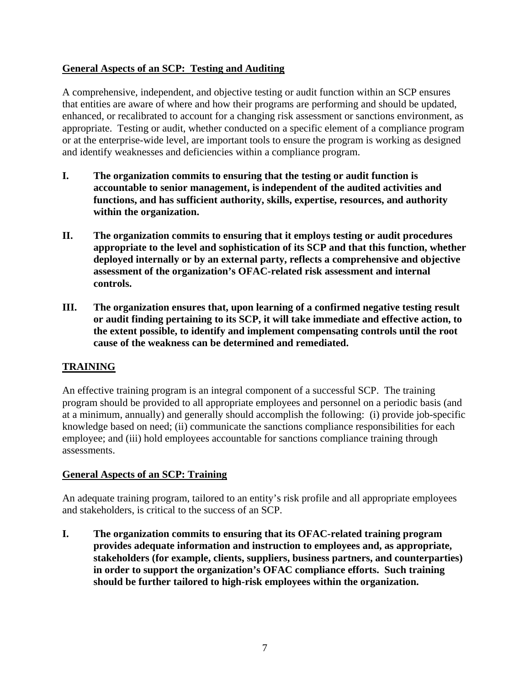### **General Aspects of an SCP: Testing and Auditing**

A comprehensive, independent, and objective testing or audit function within an SCP ensures that entities are aware of where and how their programs are performing and should be updated, enhanced, or recalibrated to account for a changing risk assessment or sanctions environment, as appropriate. Testing or audit, whether conducted on a specific element of a compliance program or at the enterprise-wide level, are important tools to ensure the program is working as designed and identify weaknesses and deficiencies within a compliance program.

- **I. The organization commits to ensuring that the testing or audit function is accountable to senior management, is independent of the audited activities and functions, and has sufficient authority, skills, expertise, resources, and authority within the organization.**
- **II. The organization commits to ensuring that it employs testing or audit procedures appropriate to the level and sophistication of its SCP and that this function, whether deployed internally or by an external party, reflects a comprehensive and objective assessment of the organization's OFAC-related risk assessment and internal controls.**
- **III. The organization ensures that, upon learning of a confirmed negative testing result or audit finding pertaining to its SCP, it will take immediate and effective action, to the extent possible, to identify and implement compensating controls until the root cause of the weakness can be determined and remediated.**

## **TRAINING**

An effective training program is an integral component of a successful SCP. The training program should be provided to all appropriate employees and personnel on a periodic basis (and at a minimum, annually) and generally should accomplish the following: (i) provide job-specific knowledge based on need; (ii) communicate the sanctions compliance responsibilities for each employee; and (iii) hold employees accountable for sanctions compliance training through assessments.

#### **General Aspects of an SCP: Training**

An adequate training program, tailored to an entity's risk profile and all appropriate employees and stakeholders, is critical to the success of an SCP.

**I. The organization commits to ensuring that its OFAC-related training program provides adequate information and instruction to employees and, as appropriate, stakeholders (for example, clients, suppliers, business partners, and counterparties) in order to support the organization's OFAC compliance efforts. Such training should be further tailored to high-risk employees within the organization.**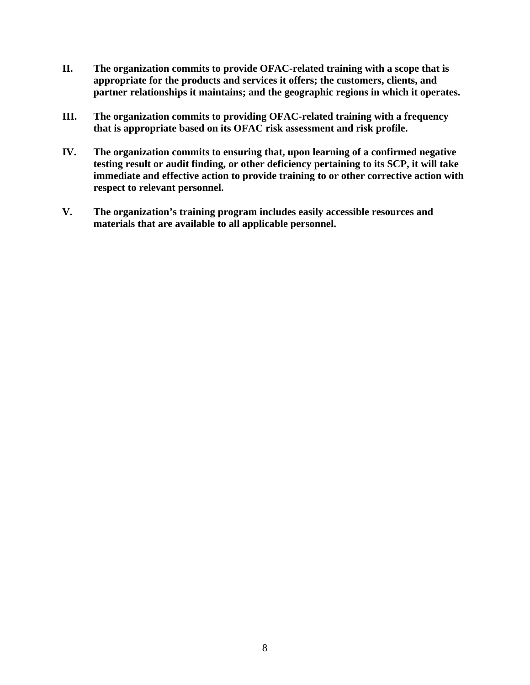- **II. The organization commits to provide OFAC-related training with a scope that is appropriate for the products and services it offers; the customers, clients, and partner relationships it maintains; and the geographic regions in which it operates.**
- **III. The organization commits to providing OFAC-related training with a frequency that is appropriate based on its OFAC risk assessment and risk profile.**
- **IV. The organization commits to ensuring that, upon learning of a confirmed negative testing result or audit finding, or other deficiency pertaining to its SCP, it will take immediate and effective action to provide training to or other corrective action with respect to relevant personnel.**
- **V. The organization's training program includes easily accessible resources and materials that are available to all applicable personnel.**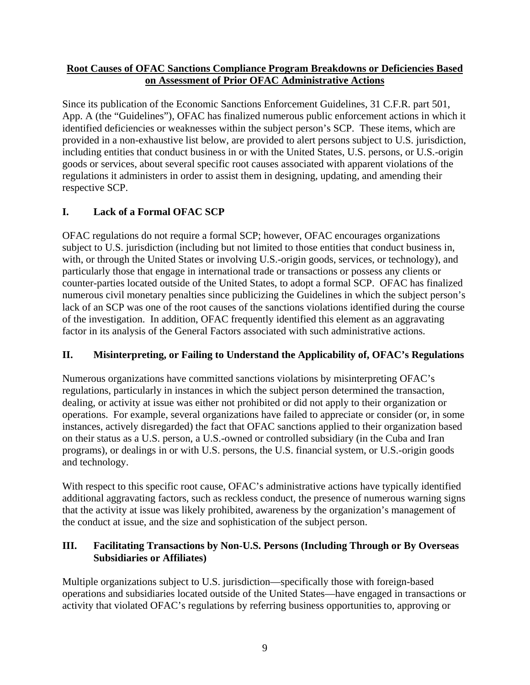#### **Root Causes of OFAC Sanctions Compliance Program Breakdowns or Deficiencies Based on Assessment of Prior OFAC Administrative Actions**

Since its publication of the Economic Sanctions Enforcement Guidelines, 31 C.F.R. part 501, App. A (the "Guidelines"), OFAC has finalized numerous public enforcement actions in which it identified deficiencies or weaknesses within the subject person's SCP. These items, which are provided in a non-exhaustive list below, are provided to alert persons subject to U.S. jurisdiction, including entities that conduct business in or with the United States, U.S. persons, or U.S.-origin goods or services, about several specific root causes associated with apparent violations of the regulations it administers in order to assist them in designing, updating, and amending their respective SCP.

# **I. Lack of a Formal OFAC SCP**

OFAC regulations do not require a formal SCP; however, OFAC encourages organizations subject to U.S. jurisdiction (including but not limited to those entities that conduct business in, with, or through the United States or involving U.S.-origin goods, services, or technology), and particularly those that engage in international trade or transactions or possess any clients or counter-parties located outside of the United States, to adopt a formal SCP. OFAC has finalized numerous civil monetary penalties since publicizing the Guidelines in which the subject person's lack of an SCP was one of the root causes of the sanctions violations identified during the course of the investigation. In addition, OFAC frequently identified this element as an aggravating factor in its analysis of the General Factors associated with such administrative actions.

# **II. Misinterpreting, or Failing to Understand the Applicability of, OFAC's Regulations**

Numerous organizations have committed sanctions violations by misinterpreting OFAC's regulations, particularly in instances in which the subject person determined the transaction, dealing, or activity at issue was either not prohibited or did not apply to their organization or operations. For example, several organizations have failed to appreciate or consider (or, in some instances, actively disregarded) the fact that OFAC sanctions applied to their organization based on their status as a U.S. person, a U.S.-owned or controlled subsidiary (in the Cuba and Iran programs), or dealings in or with U.S. persons, the U.S. financial system, or U.S.-origin goods and technology.

With respect to this specific root cause, OFAC's administrative actions have typically identified additional aggravating factors, such as reckless conduct, the presence of numerous warning signs that the activity at issue was likely prohibited, awareness by the organization's management of the conduct at issue, and the size and sophistication of the subject person.

## **III. Facilitating Transactions by Non-U.S. Persons (Including Through or By Overseas Subsidiaries or Affiliates)**

Multiple organizations subject to U.S. jurisdiction—specifically those with foreign-based operations and subsidiaries located outside of the United States—have engaged in transactions or activity that violated OFAC's regulations by referring business opportunities to, approving or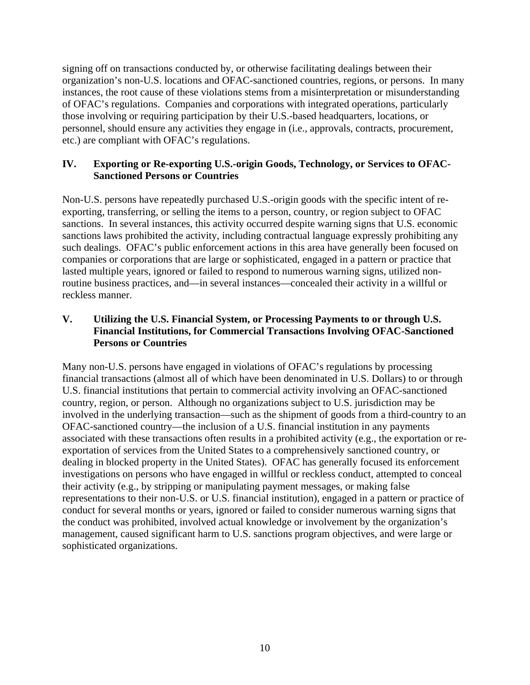signing off on transactions conducted by, or otherwise facilitating dealings between their organization's non-U.S. locations and OFAC-sanctioned countries, regions, or persons. In many instances, the root cause of these violations stems from a misinterpretation or misunderstanding of OFAC's regulations. Companies and corporations with integrated operations, particularly those involving or requiring participation by their U.S.-based headquarters, locations, or personnel, should ensure any activities they engage in (i.e., approvals, contracts, procurement, etc.) are compliant with OFAC's regulations.

#### **IV. Exporting or Re-exporting U.S.-origin Goods, Technology, or Services to OFAC-Sanctioned Persons or Countries**

Non-U.S. persons have repeatedly purchased U.S.-origin goods with the specific intent of reexporting, transferring, or selling the items to a person, country, or region subject to OFAC sanctions. In several instances, this activity occurred despite warning signs that U.S. economic sanctions laws prohibited the activity, including contractual language expressly prohibiting any such dealings. OFAC's public enforcement actions in this area have generally been focused on companies or corporations that are large or sophisticated, engaged in a pattern or practice that lasted multiple years, ignored or failed to respond to numerous warning signs, utilized nonroutine business practices, and—in several instances—concealed their activity in a willful or reckless manner.

### **V. Utilizing the U.S. Financial System, or Processing Payments to or through U.S. Financial Institutions, for Commercial Transactions Involving OFAC-Sanctioned Persons or Countries**

Many non-U.S. persons have engaged in violations of OFAC's regulations by processing financial transactions (almost all of which have been denominated in U.S. Dollars) to or through U.S. financial institutions that pertain to commercial activity involving an OFAC-sanctioned country, region, or person. Although no organizations subject to U.S. jurisdiction may be involved in the underlying transaction—such as the shipment of goods from a third-country to an OFAC-sanctioned country—the inclusion of a U.S. financial institution in any payments associated with these transactions often results in a prohibited activity (e.g., the exportation or reexportation of services from the United States to a comprehensively sanctioned country, or dealing in blocked property in the United States). OFAC has generally focused its enforcement investigations on persons who have engaged in willful or reckless conduct, attempted to conceal their activity (e.g., by stripping or manipulating payment messages, or making false representations to their non-U.S. or U.S. financial institution), engaged in a pattern or practice of conduct for several months or years, ignored or failed to consider numerous warning signs that the conduct was prohibited, involved actual knowledge or involvement by the organization's management, caused significant harm to U.S. sanctions program objectives, and were large or sophisticated organizations.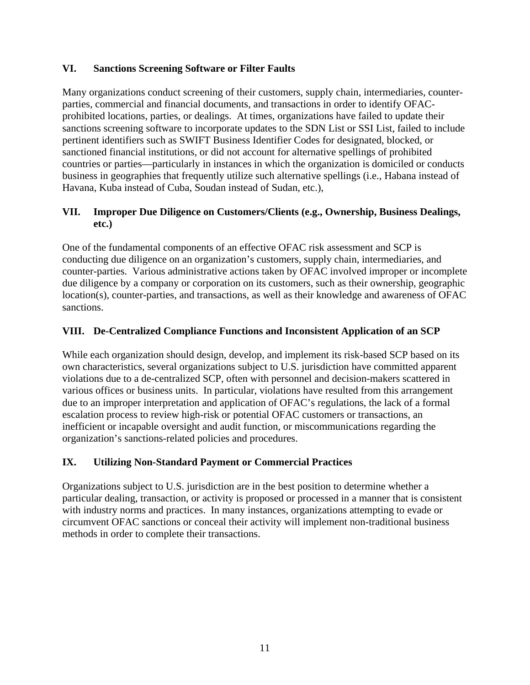### **VI. Sanctions Screening Software or Filter Faults**

Many organizations conduct screening of their customers, supply chain, intermediaries, counterparties, commercial and financial documents, and transactions in order to identify OFACprohibited locations, parties, or dealings. At times, organizations have failed to update their sanctions screening software to incorporate updates to the SDN List or SSI List, failed to include pertinent identifiers such as SWIFT Business Identifier Codes for designated, blocked, or sanctioned financial institutions, or did not account for alternative spellings of prohibited countries or parties—particularly in instances in which the organization is domiciled or conducts business in geographies that frequently utilize such alternative spellings (i.e., Habana instead of Havana, Kuba instead of Cuba, Soudan instead of Sudan, etc.),

### **VII. Improper Due Diligence on Customers/Clients (e.g., Ownership, Business Dealings, etc.)**

One of the fundamental components of an effective OFAC risk assessment and SCP is conducting due diligence on an organization's customers, supply chain, intermediaries, and counter-parties. Various administrative actions taken by OFAC involved improper or incomplete due diligence by a company or corporation on its customers, such as their ownership, geographic location(s), counter-parties, and transactions, as well as their knowledge and awareness of OFAC sanctions.

## **VIII. De-Centralized Compliance Functions and Inconsistent Application of an SCP**

While each organization should design, develop, and implement its risk-based SCP based on its own characteristics, several organizations subject to U.S. jurisdiction have committed apparent violations due to a de-centralized SCP, often with personnel and decision-makers scattered in various offices or business units. In particular, violations have resulted from this arrangement due to an improper interpretation and application of OFAC's regulations, the lack of a formal escalation process to review high-risk or potential OFAC customers or transactions, an inefficient or incapable oversight and audit function, or miscommunications regarding the organization's sanctions-related policies and procedures.

#### **IX. Utilizing Non-Standard Payment or Commercial Practices**

Organizations subject to U.S. jurisdiction are in the best position to determine whether a particular dealing, transaction, or activity is proposed or processed in a manner that is consistent with industry norms and practices. In many instances, organizations attempting to evade or circumvent OFAC sanctions or conceal their activity will implement non-traditional business methods in order to complete their transactions.